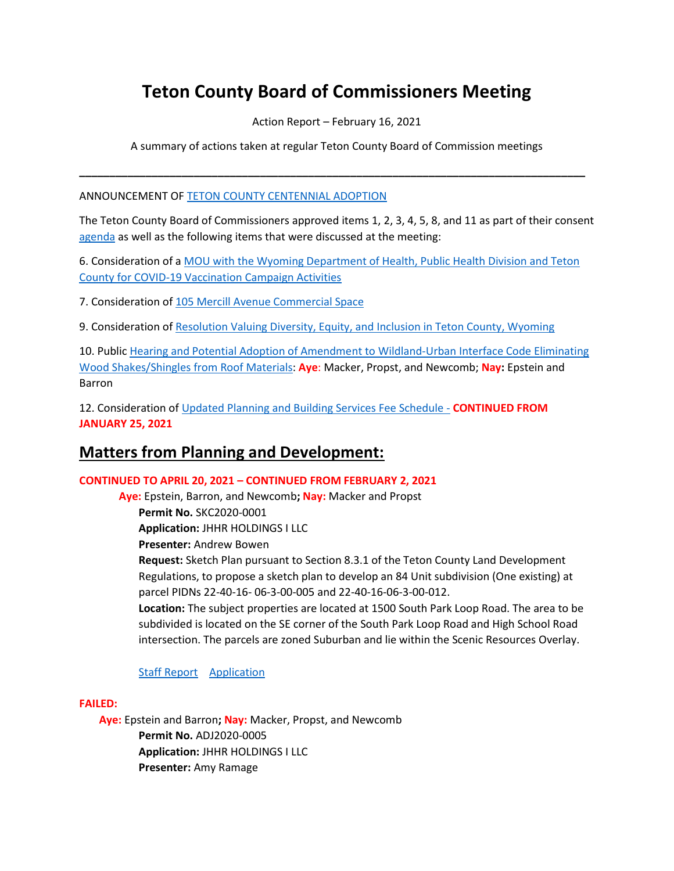# **Teton County Board of Commissioners Meeting**

Action Report – February 16, 2021

A summary of actions taken at regular Teton County Board of Commission meetings

**\_\_\_\_\_\_\_\_\_\_\_\_\_\_\_\_\_\_\_\_\_\_\_\_\_\_\_\_\_\_\_\_\_\_\_\_\_\_\_\_\_\_\_\_\_\_\_\_\_\_\_\_\_\_\_\_\_\_\_\_\_\_\_\_\_\_\_\_\_\_\_\_\_\_\_\_\_\_\_\_\_\_\_\_**

ANNOUNCEMENT OF [TETON COUNTY CENTENNIAL ADOPTION](https://www.tetoncountywy.gov/DocumentCenter/View/17375/JacksonS-Hole-Courier---Feb-24th-2021-page-1)

The Teton County Board of Commissioners approved items 1, 2, 3, 4, 5, 8, and 11 as part of their consent [agenda](http://tetoncountywy.gov/AgendaCenter/ViewFile/Agenda/_02162021-1617) as well as the following items that were discussed at the meeting:

6. Consideration of a [MOU with the Wyoming Department of Health, Public Health Division and Teton](https://www.tetoncountywy.gov/DocumentCenter/View/17342/02166-MOU-with-Wyo-Dept-Of-Health)  [County for COVID-19 Vaccination Campaign Activities](https://www.tetoncountywy.gov/DocumentCenter/View/17342/02166-MOU-with-Wyo-Dept-Of-Health)

7. Consideration of 105 Mercill [Avenue Commercial Space](https://www.tetoncountywy.gov/DocumentCenter/View/17343/02167-Mercill-Commercial-Space)

9. Consideration o[f Resolution Valuing Diversity, Equity, and Inclusion in Teton County, Wyoming](https://www.tetoncountywy.gov/DocumentCenter/View/17345/02169-Resolution-Regarding-Diversity)

10. Public [Hearing and Potential Adoption of Amendment to Wildland-Urban Interface Code Eliminating](https://www.tetoncountywy.gov/DocumentCenter/View/17346/021610-WUIC)  [Wood Shakes/Shingles from Roof Materials:](https://www.tetoncountywy.gov/DocumentCenter/View/17346/021610-WUIC) **Aye**: Macker, Propst, and Newcomb; **Nay:** Epstein and Barron

12. Consideration of [Updated Planning and Building Services Fee Schedule -](https://www.tetoncountywy.gov/DocumentCenter/View/17348/021612-MSC2020-0035_Fee-Schedule-Update-Packet_BCC021621) **CONTINUED FROM JANUARY 25, 2021**

## **Matters from Planning and Development:**

#### **CONTINUED TO APRIL 20, 2021 – CONTINUED FROM FEBRUARY 2, 2021**

**Aye:** Epstein, Barron, and Newcomb**; Nay:** Macker and Propst **Permit No.** SKC2020-0001 **Application:** JHHR HOLDINGS I LLC **Presenter:** Andrew Bowen **Request:** Sketch Plan pursuant to Section 8.3.1 of the Teton County Land Development Regulations, to propose a sketch plan to develop an 84 Unit subdivision (One existing) at parcel PIDNs 22-40-16- 06-3-00-005 and 22-40-16-06-3-00-012. **Location:** The subject properties are located at 1500 South Park Loop Road. The area to be subdivided is located on the SE corner of the South Park Loop Road and High School Road intersection. The parcels are zoned Suburban and lie within the Scenic Resources Overlay.

#### [Staff Report](https://www.tetoncountywy.gov/DocumentCenter/View/17352/SKC2020-0001BCC0216) [Application](https://developmentrecords.tetoncountywy.gov/Portal/Planning/Status?planningId=20256)

#### **FAILED:**

**Aye:** Epstein and Barron**; Nay:** Macker, Propst, and Newcomb **Permit No.** ADJ2020-0005 **Application:** JHHR HOLDINGS I LLC **Presenter:** Amy Ramage